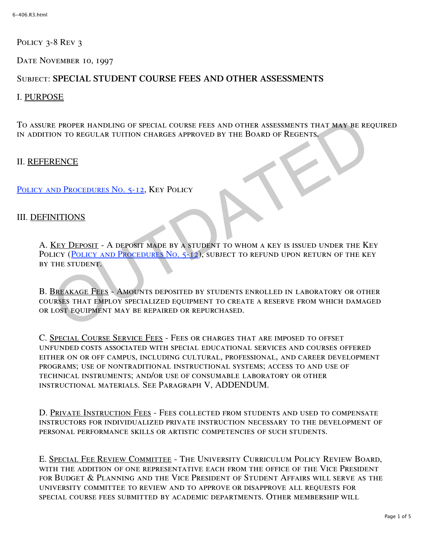POLICY 3-8 REV 3

DATE NOVEMBER 10, 1997

# Subject: **SPECIAL STUDENT COURSE FEES AND OTHER ASSESSMENTS**

## I. PURPOSE

To assure proper handling of special course fees and other assessments that may be required in addition to regular tuition charges approved by the Board of Regents.

## II. REFERENCE

POLICY AND PROCEDURES No. 5-12, KEY POLICY

## III. DEFINITIONS

A. Key Deposit - A deposit made by a student to whom a key is issued under the Key POLICY (POLICY AND PROCEDURES NO. 5-12), SUBJECT TO REFUND UPON RETURN OF THE KEY by the student. E PROPER HANDLING OF SPECIAL COURSE FEES AND OTHER ASSESSMENTS THAT MAY BE RE<br>
ON TO REGULAR TUITION CHARGES APPROVED BY THE BOARD OF REGENTS.<br>
RENCE<br>
ND PROCEDURES NO. 5-12, KEY POLICY<br>
NITIONS<br>
KEY DEPOSIT - A DEPOSIT MA

B. BREAKAGE FEES - AMOUNTS DEPOSITED BY STUDENTS ENROLLED IN LABORATORY OR OTHER courses that employ specialized equipment to create a reserve from which damaged or lost equipment may be repaired or repurchased.

C. Special Course Service Fees - Fees or charges that are imposed to offset unfunded costs associated with special educational services and courses offered either on or off campus, including cultural, professional, and career development programs; use of nontraditional instructional systems; access to and use of technical instruments; and/or use of consumable laboratory or other instructional materials. See Paragraph V, ADDENDUM.

D. Private Instruction Fees - Fees collected from students and used to compensate instructors for individualized private instruction necessary to the development of personal performance skills or artistic competencies of such students.

E. Special Fee Review Committee - The University Curriculum Policy Review Board, with the addition of one representative each from the office of the Vice President for Budget & Planning and the Vice President of Student Affairs will serve as the university committee to review and to approve or disapprove all requests for special course fees submitted by academic departments. Other membership will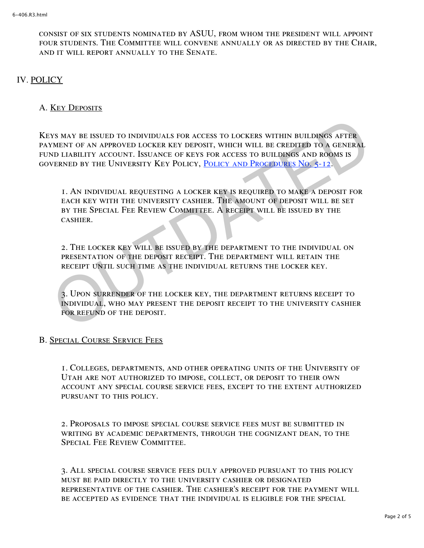consist of six students nominated by ASUU, from whom the president will appoint four students. The Committee will convene annually or as directed by the Chair, and it will report annually to the Senate.

## IV. POLICY

### A. Key Deposits

Keys may be issued to individuals for access to lockers within buildings after payment of an approved locker key deposit, which will be credited to a general fund liability account. Issuance of keys for access to buildings and rooms is governed by the University Key Policy, Policy and Procedures No. 5-12. YS MAY BE ISSUED TO INDIVIDUALS FOR ACCESS TO LOCKERS WITHIN BUILDINGS AFTER<br>VALINT OF AN APPROVED LOCKER KEY DEPOSIT, WHICH WILL BE CREDI[TED](http://www.regulations.utah.edu/administration/3-234.html) TO A GENERAL<br>VD LIABILITY ACCOUNT. ISSUANCE OF KEYS FOR ACCESS TO BUILDINGS AND

1. An individual requesting a locker key is required to make a deposit for each key with the university cashier. The amount of deposit will be set by the Special Fee Review Committee. A receipt will be issued by the cashier.

2. The locker key will be issued by the department to the individual on presentation of the deposit receipt. The department will retain the receipt until such time as the individual returns the locker key.

3. Upon surrender of the locker key, the department returns receipt to individual, who may present the deposit receipt to the university cashier FOR REFUND OF THE DEPOSIT.

#### B. Special Course Service Fees

1. Colleges, departments, and other operating units of the University of Utah are not authorized to impose, collect, or deposit to their own account any special course service fees, except to the extent authorized pursuant to this policy.

2. Proposals to impose special course service fees must be submitted in writing by academic departments, through the cognizant dean, to the SPECIAL FEE REVIEW COMMITTEE.

3. All special course service fees duly approved pursuant to this policy must be paid directly to the university cashier or designated representative of the cashier. The cashier's receipt for the payment will be accepted as evidence that the individual is eligible for the special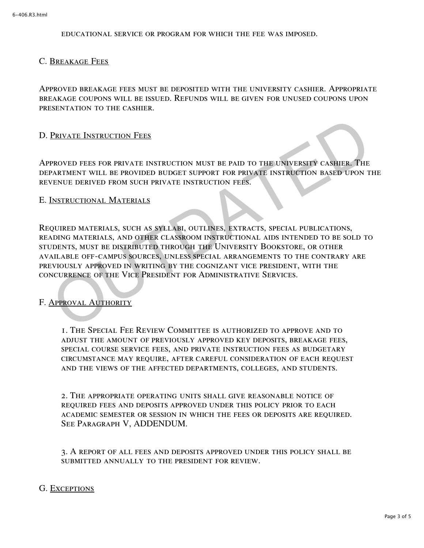educational service or program for which the fee was imposed.

### C. Breakage Fees

Approved breakage fees must be deposited with the university cashier. Appropriate breakage coupons will be issued. Refunds will be given for unused coupons upon presentation to the cashier.

### D. Private Instruction Fees

Approved fees for private instruction must be paid to the university cashier. The department will be provided budget support for private instruction based upon the revenue derived from such private instruction fees.

#### E. Instructional Materials

Required materials, such as syllabi, outlines, extracts, special publications, reading materials, and other classroom instructional aids intended to be sold to students, must be distributed through the University Bookstore, or other available off-campus sources, unless special arrangements to the contrary are previously approved in writing by the cognizant vice president, with the concurrence of the Vice President for Administrative Services. PROVED FEES FOR PRIVATE INSTRUCTION MUST BE PAID TO THE UNIVERSITY CASHER, THE<br>PARTMENT WILL BE PROVIDED BUDGET SUPPORT FOR PRIVATE INSTRUCTION BASED UPON T<br>AENIMENT WILL BE PROVIDED BUDGET SUPPORT FOR PRIVATE INSTRUCTION

#### F. Approval Authority

1. The Special Fee Review Committee is authorized to approve and to adjust the amount of previously approved key deposits, breakage fees, special course service fees, and private instruction fees as budgetary circumstance may require, after careful consideration of each request and the views of the affected departments, colleges, and students.

2. The appropriate operating units shall give reasonable notice of required fees and deposits approved under this policy prior to each academic semester or session in which the fees or deposits are required. See Paragraph V, ADDENDUM.

3. A report of all fees and deposits approved under this policy shall be submitted annually to the president for review.

#### G. Exceptions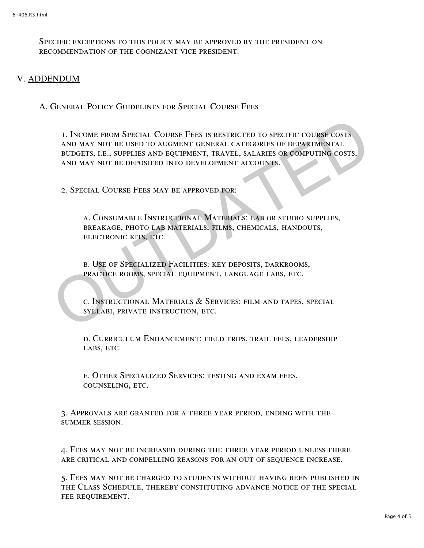Specific exceptions to this policy may be approved by the president on recommendation of the cognizant vice president.

### V. ADDENDUM

### A. General Policy Guidelines for Special Course Fees

1. Income from Special Course Fees is restricted to specific course costs and may not be used to augment general categories of departmental budgets, i.e., supplies and equipment, travel, salaries or computing costs, and may not be deposited into development accounts. 1. INCOME FROM SPECIAL COURSE FEES IS RESTRICTED TO SPECIFIC COURSE COSTS<br>AND MAY NOT BE USED TO AUGMENT GENERAL CATEGORIES OF DEPARTMENTAL<br>BUDGETS, I.E., SUPPLIES AND EQUIPMENT, TRAVEL, SALARIES OR COMPUTING COSTS,<br>AND MA

2. Special Course Fees may be approved for:

a. Consumable Instructional Materials: lab or studio supplies, breakage, photo lab materials, films, chemicals, handouts, electronic kits, etc.

b. Use of Specialized Facilities: key deposits, darkrooms, practice rooms, special equipment, language labs, etc.

c. Instructional Materials & Services: film and tapes, special syllabi, private instruction, etc.

d. Curriculum Enhancement: field trips, trail fees, leadership LABS, ETC.

e. Other Specialized Services: testing and exam fees, counseling, etc.

3. Approvals are granted for a three year period, ending with the summer session.

4. Fees may not be increased during the three year period unless there are critical and compelling reasons for an out of sequence increase.

5. Fees may not be charged to students without having been published in the Class Schedule, thereby constituting advance notice of the special FEE REQUIREMENT.